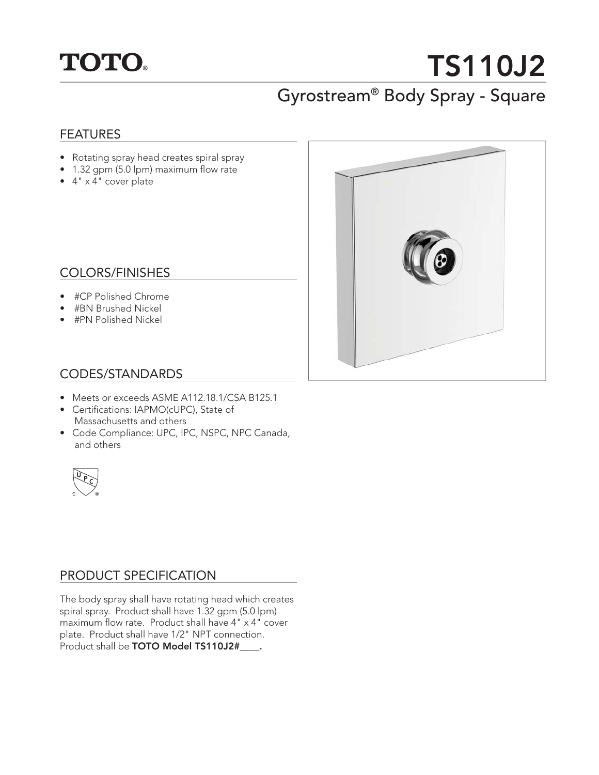

# **TS110J2** Gyrostream® Body Spray - Square

#### FEATURES

- Rotating spray head creates spiral spray
- 1.32 gpm (5.0 lpm) maximum flow rate
- 4" x 4" cover plate



### COLORS/FINISHES

- #CP Polished Chrome
- #BN Brushed Nickel
- #PN Polished Nickel

### CODES/STANDARDS

- Meets or exceeds ASME A112.18.1/CSA B125.1
- Certifications: IAPMO(cUPC), State of Massachusetts and others
- Code Compliance: UPC, IPC, NSPC, NPC Canada, and others



## PRODUCT SPECIFICATION

The body spray shall have rotating head which creates spiral spray. Product shall have 1.32 gpm (5.0 lpm) maximum flow rate. Product shall have  $4" \times 4"$  cover plate. Product shall have 1/2" NPT connection. Product shall be **TOTO Model TS110J2#\_\_\_\_.**